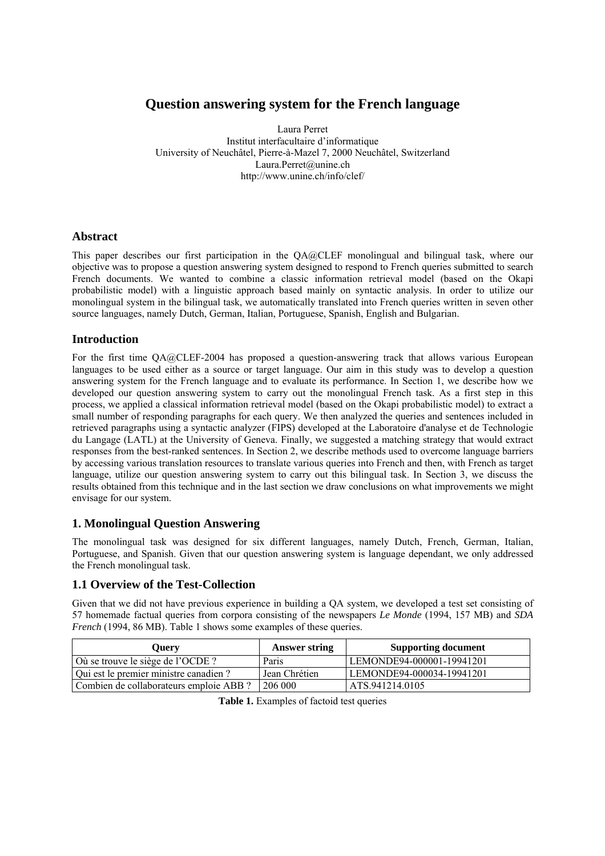# **Question answering system for the French language**

Laura Perret

Institut interfacultaire d'informatique University of Neuchâtel, Pierre-à-Mazel 7, 2000 Neuchâtel, Switzerland Laura.Perret@unine.ch http://www.unine.ch/info/clef/

### **Abstract**

This paper describes our first participation in the QA@CLEF monolingual and bilingual task, where our objective was to propose a question answering system designed to respond to French queries submitted to search French documents. We wanted to combine a classic information retrieval model (based on the Okapi probabilistic model) with a linguistic approach based mainly on syntactic analysis. In order to utilize our monolingual system in the bilingual task, we automatically translated into French queries written in seven other source languages, namely Dutch, German, Italian, Portuguese, Spanish, English and Bulgarian.

# **Introduction**

For the first time QA@CLEF-2004 has proposed a question-answering track that allows various European languages to be used either as a source or target language. Our aim in this study was to develop a question answering system for the French language and to evaluate its performance. In Section 1, we describe how we developed our question answering system to carry out the monolingual French task. As a first step in this process, we applied a classical information retrieval model (based on the Okapi probabilistic model) to extract a small number of responding paragraphs for each query. We then analyzed the queries and sentences included in retrieved paragraphs using a syntactic analyzer (FIPS) developed at the Laboratoire d'analyse et de Technologie du Langage (LATL) at the University of Geneva. Finally, we suggested a matching strategy that would extract responses from the best-ranked sentences. In Section 2, we describe methods used to overcome language barriers by accessing various translation resources to translate various queries into French and then, with French as target language, utilize our question answering system to carry out this bilingual task. In Section 3, we discuss the results obtained from this technique and in the last section we draw conclusions on what improvements we might envisage for our system.

# **1. Monolingual Question Answering**

The monolingual task was designed for six different languages, namely Dutch, French, German, Italian, Portuguese, and Spanish. Given that our question answering system is language dependant, we only addressed the French monolingual task.

# **1.1 Overview of the Test-Collection**

Given that we did not have previous experience in building a QA system, we developed a test set consisting of 57 homemade factual queries from corpora consisting of the newspapers *Le Monde* (1994, 157 MB) and *SDA French* (1994, 86 MB). Table 1 shows some examples of these queries.

| Ouerv                                  | <b>Answer string</b> | <b>Supporting document</b> |
|----------------------------------------|----------------------|----------------------------|
| Où se trouve le siège de l'OCDE ?      | Paris                | LEMONDE94-000001-19941201  |
| Qui est le premier ministre canadien?  | Jean Chrétien        | LEMONDE94-000034-19941201  |
| Combien de collaborateurs emploie ABB? | 206 000              | ATS.941214.0105            |

**Table 1.** Examples of factoid test queries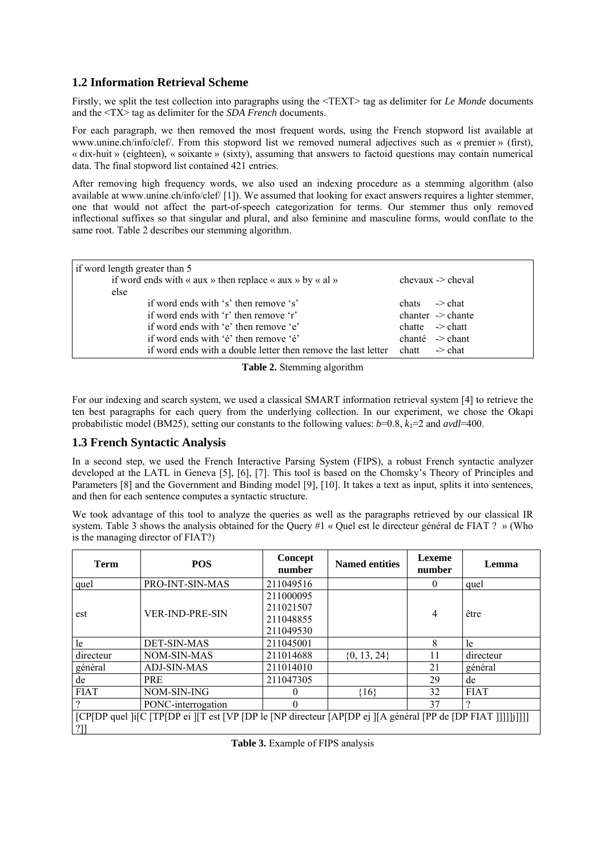# **1.2 Information Retrieval Scheme**

Firstly, we split the test collection into paragraphs using the <TEXT> tag as delimiter for *Le Monde* documents and the <TX> tag as delimiter for the *SDA French* documents.

For each paragraph, we then removed the most frequent words, using the French stopword list available at www.unine.ch/info/clef/. From this stopword list we removed numeral adjectives such as « premier » (first), « dix-huit » (eighteen), « soixante » (sixty), assuming that answers to factoid questions may contain numerical data. The final stopword list contained 421 entries.

After removing high frequency words, we also used an indexing procedure as a stemming algorithm (also available at www.unine.ch/info/clef/ [1]). We assumed that looking for exact answers requires a lighter stemmer, one that would not affect the part-of-speech categorization for terms. Our stemmer thus only removed inflectional suffixes so that singular and plural, and also feminine and masculine forms, would conflate to the same root. Table 2 describes our stemming algorithm.

| if word length greater than 5                                                                |                              |
|----------------------------------------------------------------------------------------------|------------------------------|
| if word ends with « $aux \rightarrow$ then replace « $aux \rightarrow by \ll al \rightarrow$ | $chevaux \geq cheval$        |
| else                                                                                         |                              |
| if word ends with 's' then remove 's'                                                        | $\Rightarrow$ chat<br>chats  |
| if word ends with 'r' then remove 'r'                                                        | chanter $\rightarrow$ chante |
| if word ends with 'e' then remove 'e'                                                        | $chatte$ $\rightarrow$ chatt |
| if word ends with 'é' then remove 'é'                                                        | chanté $\rightarrow$ chant   |
| if word ends with a double letter then remove the last letter                                | chatt<br>$\Rightarrow$ chat  |

**Table 2.** Stemming algorithm

For our indexing and search system, we used a classical SMART information retrieval system [4] to retrieve the ten best paragraphs for each query from the underlying collection. In our experiment, we chose the Okapi probabilistic model (BM25), setting our constants to the following values:  $b=0.8$ ,  $k<sub>1</sub>=2$  and  $avdl=400$ .

# **1.3 French Syntactic Analysis**

In a second step, we used the French Interactive Parsing System (FIPS), a robust French syntactic analyzer developed at the LATL in Geneva [5], [6], [7]. This tool is based on the Chomsky's Theory of Principles and Parameters [8] and the Government and Binding model [9], [10]. It takes a text as input, splits it into sentences, and then for each sentence computes a syntactic structure.

We took advantage of this tool to analyze the queries as well as the paragraphs retrieved by our classical IR system. Table 3 shows the analysis obtained for the Query #1 « Quel est le directeur général de FIAT ? » (Who is the managing director of FIAT?)

| <b>Term</b>                                                                                                                          | <b>POS</b>             | Concept<br>number | <b>Named entities</b> | Lexeme<br>number | Lemma         |  |
|--------------------------------------------------------------------------------------------------------------------------------------|------------------------|-------------------|-----------------------|------------------|---------------|--|
| quel                                                                                                                                 | <b>PRO-INT-SIN-MAS</b> | 211049516         |                       | $\theta$         | quel          |  |
|                                                                                                                                      |                        | 211000095         |                       |                  |               |  |
|                                                                                                                                      | <b>VER-IND-PRE-SIN</b> | 211021507         |                       | 4                | être          |  |
| est                                                                                                                                  |                        | 211048855         |                       |                  |               |  |
|                                                                                                                                      |                        | 211049530         |                       |                  |               |  |
| le                                                                                                                                   | <b>DET-SIN-MAS</b>     | 211045001         |                       | 8                | <sub>le</sub> |  |
| directeur                                                                                                                            | NOM-SIN-MAS            | 211014688         | $\{0, 13, 24\}$       | 11               | directeur     |  |
| général                                                                                                                              | ADJ-SIN-MAS            | 211014010         |                       | 21               | général       |  |
| de                                                                                                                                   | <b>PRE</b>             | 211047305         |                       | 29               | de            |  |
| <b>FIAT</b>                                                                                                                          | NOM-SIN-ING            | 0                 | ${16}$                | 32               | <b>FIAT</b>   |  |
| റ                                                                                                                                    | PONC-interrogation     | 0                 |                       | 37               | ?             |  |
| [CP[DP quel ]i <sup>[C</sup> [TP[DP ei ] <sup>[T</sup> est [VP [DP le [NP directeur [AP[DP ej ][A général [PP de [DP FIAT ]]]]]]]]]] |                        |                   |                       |                  |               |  |
| 21                                                                                                                                   |                        |                   |                       |                  |               |  |

**Table 3.** Example of FIPS analysis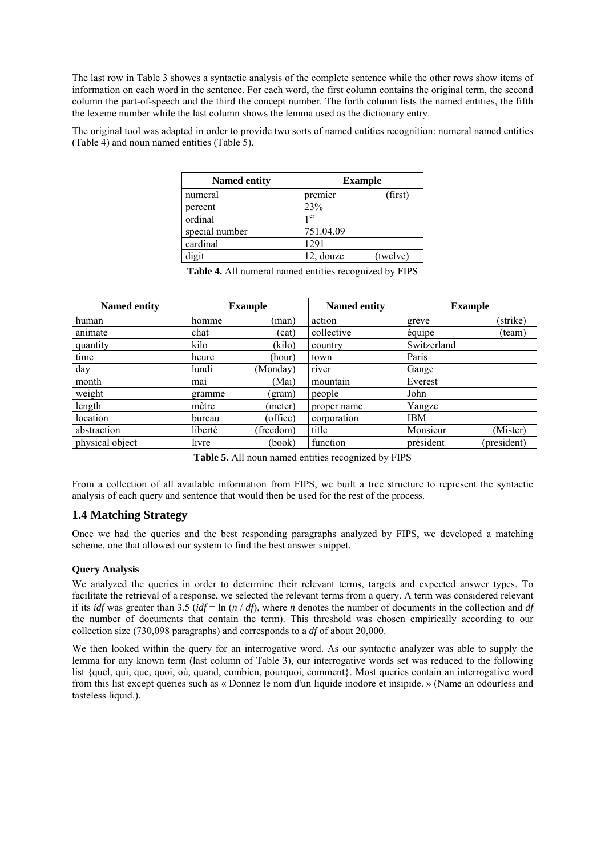The last row in Table 3 showes a syntactic analysis of the complete sentence while the other rows show items of information on each word in the sentence. For each word, the first column contains the original term, the second column the part-of-speech and the third the concept number. The forth column lists the named entities, the fifth the lexeme number while the last column shows the lemma used as the dictionary entry.

The original tool was adapted in order to provide two sorts of named entities recognition: numeral named entities (Table 4) and noun named entities (Table 5).

| <b>Named entity</b> | <b>Example</b>        |
|---------------------|-----------------------|
| numeral             | (first)<br>premier    |
| percent             | 23%                   |
| ordinal             | 1 <sup>er</sup>       |
| special number      | 751.04.09             |
| cardinal            | 1291                  |
| digit               | 12, douze<br>(twelve) |

**Table 4.** All numeral named entities recognized by FIPS

| Named entity    |         | <b>Example</b> | <b>Named entity</b> | <b>Example</b> |             |
|-----------------|---------|----------------|---------------------|----------------|-------------|
| human           | homme   | (man)          | action              | grève          | (strike)    |
| animate         | chat    | (cat)          | collective          | équipe         | (team)      |
| quantity        | kilo    | (kilo)         | country             | Switzerland    |             |
| time            | heure   | (hour)         | town                | Paris          |             |
| day             | lundi   | (Monday)       | river               | Gange          |             |
| month           | mai     | (Mai)          | mountain            | Everest        |             |
| weight          | gramme  | (gram)         | people              | John           |             |
| length          | mètre   | (meter)        | proper name         | Yangze         |             |
| location        | bureau  | (office)       | corporation         | <b>IBM</b>     |             |
| abstraction     | liberté | (freedom)      | title               | Monsieur       | (Mister)    |
| physical object | livre   | (book)         | function            | président      | (president) |

Table 5. All noun named entities recognized by FIPS

From a collection of all available information from FIPS, we built a tree structure to represent the syntactic analysis of each query and sentence that would then be used for the rest of the process.

# **1.4 Matching Strategy**

Once we had the queries and the best responding paragraphs analyzed by FIPS, we developed a matching scheme, one that allowed our system to find the best answer snippet.

### **Query Analysis**

We analyzed the queries in order to determine their relevant terms, targets and expected answer types. To facilitate the retrieval of a response, we selected the relevant terms from a query. A term was considered relevant if its *idf* was greater than 3.5 ( $i df = \ln(n / d f)$ , where *n* denotes the number of documents in the collection and *df* the number of documents that contain the term). This threshold was chosen empirically according to our collection size (730,098 paragraphs) and corresponds to a *df* of about 20,000.

We then looked within the query for an interrogative word. As our syntactic analyzer was able to supply the lemma for any known term (last column of Table 3), our interrogative words set was reduced to the following list {quel, qui, que, quoi, où, quand, combien, pourquoi, comment}. Most queries contain an interrogative word from this list except queries such as « Donnez le nom d'un liquide inodore et insipide. » (Name an odourless and tasteless liquid.).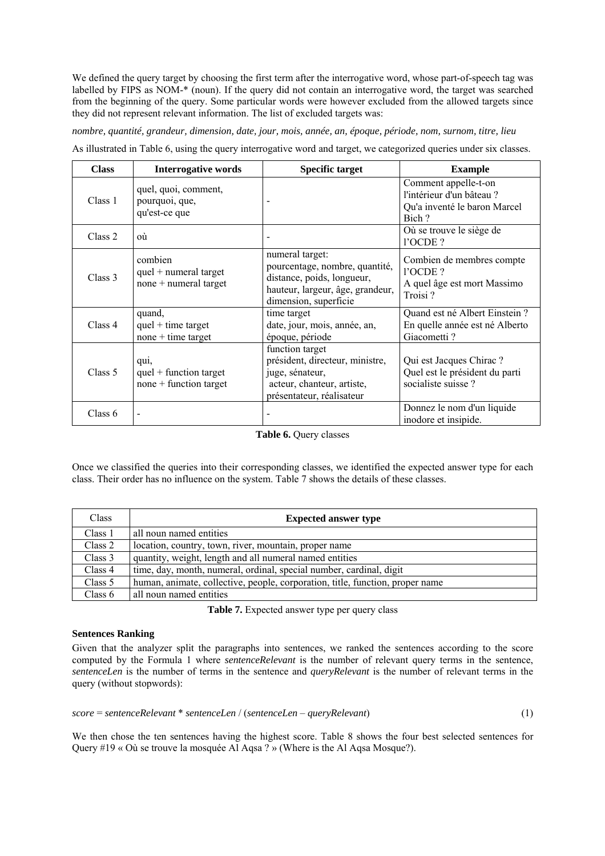We defined the query target by choosing the first term after the interrogative word, whose part-of-speech tag was labelled by FIPS as NOM-\* (noun). If the query did not contain an interrogative word, the target was searched from the beginning of the query. Some particular words were however excluded from the allowed targets since they did not represent relevant information. The list of excluded targets was:

*nombre, quantité, grandeur, dimension, date, jour, mois, année, an, époque, période, nom, surnom, titre, lieu* 

As illustrated in Table 6, using the query interrogative word and target, we categorized queries under six classes.

| <b>Class</b> | <b>Interrogative words</b>                                   | <b>Specific target</b>                                                                                                                       | <b>Example</b>                                                                             |
|--------------|--------------------------------------------------------------|----------------------------------------------------------------------------------------------------------------------------------------------|--------------------------------------------------------------------------------------------|
| Class 1      | quel, quoi, comment,<br>pourquoi, que,<br>qu'est-ce que      |                                                                                                                                              | Comment appelle-t-on<br>l'intérieur d'un bâteau?<br>Qu'a inventé le baron Marcel<br>Bich ? |
| Class 2      | où                                                           |                                                                                                                                              | Où se trouve le siège de<br>l'OCDE?                                                        |
| Class 3      | combien<br>$quel + numeral target$<br>none + numeral target  | numeral target:<br>pourcentage, nombre, quantité,<br>distance, poids, longueur,<br>hauteur, largeur, âge, grandeur,<br>dimension, superficie | Combien de membres compte<br>l'OCDE?<br>A quel âge est mort Massimo<br>Troisi?             |
| Class 4      | quand,<br>$quel + time target$<br>$none + time target$       | time target<br>date, jour, mois, année, an,<br>époque, période                                                                               | Quand est né Albert Einstein?<br>En quelle année est né Alberto<br>Giacometti?             |
| Class 5      | qui,<br>$quel + function target$<br>$none + function target$ | function target<br>président, directeur, ministre,<br>juge, sénateur,<br>acteur, chanteur, artiste,<br>présentateur, réalisateur             | Qui est Jacques Chirac?<br>Quel est le président du parti<br>socialiste suisse?            |
| Class 6      |                                                              |                                                                                                                                              | Donnez le nom d'un liquide<br>inodore et insipide.                                         |

Table **6.** Query classes

Once we classified the queries into their corresponding classes, we identified the expected answer type for each class. Their order has no influence on the system. Table 7 shows the details of these classes.

| Class   | <b>Expected answer type</b>                                                   |
|---------|-------------------------------------------------------------------------------|
| Class 1 | all noun named entities                                                       |
| Class 2 | location, country, town, river, mountain, proper name                         |
| Class 3 | quantity, weight, length and all numeral named entities                       |
| Class 4 | time, day, month, numeral, ordinal, special number, cardinal, digit           |
| Class 5 | human, animate, collective, people, corporation, title, function, proper name |
| Class 6 | all noun named entities                                                       |

**Table 7.** Expected answer type per query class

#### **Sentences Ranking**

Given that the analyzer split the paragraphs into sentences, we ranked the sentences according to the score computed by the Formula 1 where *sentenceRelevant* is the number of relevant query terms in the sentence, *sentenceLen* is the number of terms in the sentence and *queryRelevant* is the number of relevant terms in the query (without stopwords):

```
score = sentenceRelevant * sentenceLen / (sentenceLen – queryRelevant) (1)
```
We then chose the ten sentences having the highest score. Table 8 shows the four best selected sentences for Query #19 « Où se trouve la mosquée Al Aqsa ? » (Where is the Al Aqsa Mosque?).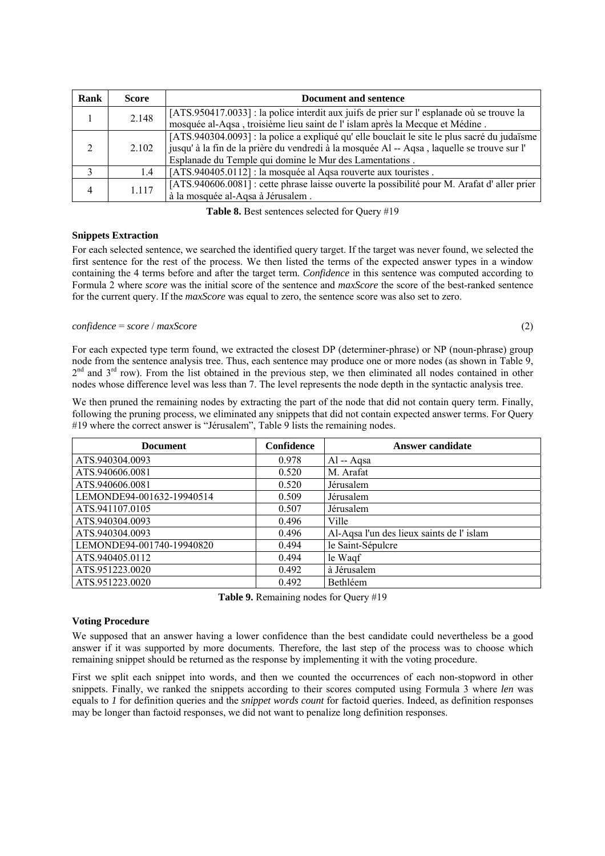| Rank | <b>Score</b> | <b>Document and sentence</b>                                                                |
|------|--------------|---------------------------------------------------------------------------------------------|
|      | 2.148        | [ATS.950417.0033] : la police interdit aux juifs de prier sur l'esplanade où se trouve la   |
|      |              | mosquée al-Aqsa, troisième lieu saint de l'islam après la Mecque et Médine.                 |
|      |              | [ATS.940304.0093] : la police a expliqué qu'elle bouclait le site le plus sacré du judaïsme |
|      | 2.102        | jusqu' à la fin de la prière du vendredi à la mosquée Al -- Aqsa, laquelle se trouve sur l' |
|      |              | Esplanade du Temple qui domine le Mur des Lamentations.                                     |
|      | 1.4          | [ATS.940405.0112] : la mosquée al Aqsa rouverte aux touristes.                              |
| 4    | 1 1 1 7      | [ATS.940606.0081] : cette phrase laisse ouverte la possibilité pour M. Arafat d'aller prier |
|      |              | à la mosquée al-Aqsa à Jérusalem.                                                           |

**Table 8.** Best sentences selected for Query #19

#### **Snippets Extraction**

For each selected sentence, we searched the identified query target. If the target was never found, we selected the first sentence for the rest of the process. We then listed the terms of the expected answer types in a window containing the 4 terms before and after the target term. *Confidence* in this sentence was computed according to Formula 2 where *score* was the initial score of the sentence and *maxScore* the score of the best-ranked sentence for the current query. If the *maxScore* was equal to zero, the sentence score was also set to zero.

#### *confidence* = *score* / *maxScore* (2)

For each expected type term found, we extracted the closest DP (determiner-phrase) or NP (noun-phrase) group node from the sentence analysis tree. Thus, each sentence may produce one or more nodes (as shown in Table 9, 2<sup>nd</sup> and 3<sup>rd</sup> row). From the list obtained in the previous step, we then eliminated all nodes contained in other nodes whose difference level was less than 7. The level represents the node depth in the syntactic analysis tree.

We then pruned the remaining nodes by extracting the part of the node that did not contain query term. Finally, following the pruning process, we eliminated any snippets that did not contain expected answer terms. For Query #19 where the correct answer is "Jérusalem", Table 9 lists the remaining nodes.

| <b>Document</b>           | <b>Confidence</b> | <b>Answer candidate</b>                  |
|---------------------------|-------------------|------------------------------------------|
| ATS.940304.0093           | 0.978             | Al -- Agsa                               |
| ATS.940606.0081           | 0.520             | M. Arafat                                |
| ATS.940606.0081           | 0.520             | Jérusalem                                |
| LEMONDE94-001632-19940514 | 0.509             | Jérusalem                                |
| ATS.941107.0105           | 0.507             | Jérusalem                                |
| ATS.940304.0093           | 0.496             | Ville                                    |
| ATS.940304.0093           | 0.496             | Al-Aqsa l'un des lieux saints de l'islam |
| LEMONDE94-001740-19940820 | 0.494             | le Saint-Sépulcre                        |
| ATS.940405.0112           | 0.494             | le Waqf                                  |
| ATS.951223.0020           | 0.492             | à Jérusalem                              |
| ATS.951223.0020           | 0.492             | Bethléem                                 |

**Table 9.** Remaining nodes for Query #19

#### **Voting Procedure**

We supposed that an answer having a lower confidence than the best candidate could nevertheless be a good answer if it was supported by more documents. Therefore, the last step of the process was to choose which remaining snippet should be returned as the response by implementing it with the voting procedure.

First we split each snippet into words, and then we counted the occurrences of each non-stopword in other snippets. Finally, we ranked the snippets according to their scores computed using Formula 3 where *len* was equals to *1* for definition queries and the *snippet words count* for factoid queries. Indeed, as definition responses may be longer than factoid responses, we did not want to penalize long definition responses.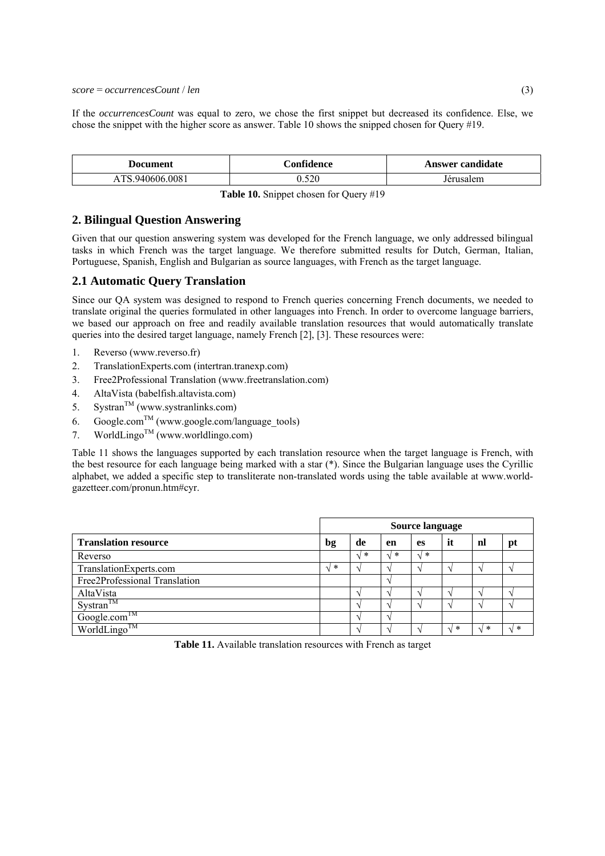#### *score* = *occurrencesCount* / *len* (3)

If the *occurrencesCount* was equal to zero, we chose the first snippet but decreased its confidence. Else, we chose the snippet with the higher score as answer. Table 10 shows the snipped chosen for Query #19.

| Document               | Confidence | <b>Answer candidate</b> |
|------------------------|------------|-------------------------|
| ATS :<br>'.940606.0081 | 520        | Jérusalem               |

**Table 10.** Snippet chosen for Query #19

### **2. Bilingual Question Answering**

Given that our question answering system was developed for the French language, we only addressed bilingual tasks in which French was the target language. We therefore submitted results for Dutch, German, Italian, Portuguese, Spanish, English and Bulgarian as source languages, with French as the target language.

# **2.1 Automatic Query Translation**

Since our QA system was designed to respond to French queries concerning French documents, we needed to translate original the queries formulated in other languages into French. In order to overcome language barriers, we based our approach on free and readily available translation resources that would automatically translate queries into the desired target language, namely French [2], [3]. These resources were:

- 1. Reverso (www.reverso.fr)
- 2. TranslationExperts.com (intertran.tranexp.com)
- 3. Free2Professional Translation (www.freetranslation.com)
- 4. AltaVista (babelfish.altavista.com)
- 5. Systran<sup>TM</sup> (www.systranlinks.com)
- 6. Google.com<sup>TM</sup> (www.google.com/language\_tools)
- 7. WorldLingo<sup>TM</sup> (www.worldlingo.com)

Table 11 shows the languages supported by each translation resource when the target language is French, with the best resource for each language being marked with a star (\*). Since the Bulgarian language uses the Cyrillic alphabet, we added a specific step to transliterate non-translated words using the table available at www.worldgazetteer.com/pronun.htm#cyr.

|                                    | <b>Source language</b> |        |             |                  |               |                          |        |
|------------------------------------|------------------------|--------|-------------|------------------|---------------|--------------------------|--------|
| <b>Translation resource</b>        | bg                     | de     | en          | es               | it            | nl                       | pt     |
| Reverso                            |                        | $\ast$ | ∗<br>$\sim$ | $\ast$<br>$\sim$ |               |                          |        |
| TranslationExperts.com             | $\ast$                 |        |             |                  |               |                          |        |
| Free2Professional Translation      |                        |        |             |                  |               |                          |        |
| AltaVista                          |                        |        |             |                  |               | $\overline{\phantom{a}}$ |        |
| S <sub>Y</sub> stran <sup>TM</sup> |                        |        |             |                  |               |                          |        |
| Google.com <sup>TM</sup>           |                        |        |             |                  |               |                          |        |
| WorldLingo <sup>TM</sup>           |                        |        |             |                  | ∗<br>$\Delta$ | ∗<br>$\Delta$            | $\ast$ |

**Table 11.** Available translation resources with French as target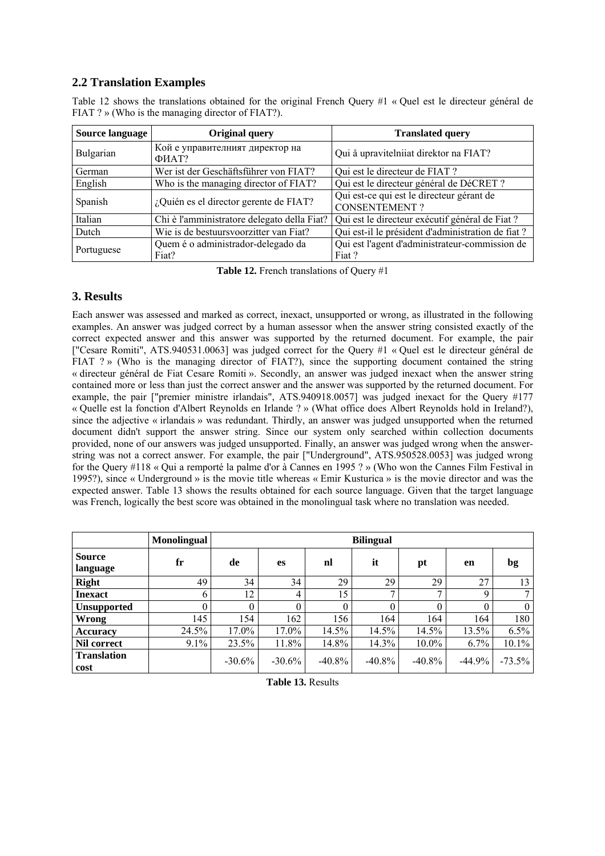# **2.2 Translation Examples**

Table 12 shows the translations obtained for the original French Query #1 « Quel est le directeur général de FIAT ? » (Who is the managing director of FIAT?).

| <b>Source language</b> | <b>Original query</b>                       | <b>Translated query</b>                                           |
|------------------------|---------------------------------------------|-------------------------------------------------------------------|
| Bulgarian              | Кой е управителният директор на<br>ФИАТ?    | Qui å upravitelnijat direktor na FIAT?                            |
| German                 | Wer ist der Geschäftsführer von FIAT?       | Qui est le directeur de FIAT ?                                    |
| English                | Who is the managing director of FIAT?       | Qui est le directeur général de DéCRET ?                          |
| Spanish                | ¿Quién es el director gerente de FIAT?      | Qui est-ce qui est le directeur gérant de<br><b>CONSENTEMENT?</b> |
| Italian                | Chi è l'amministratore delegato della Fiat? | Qui est le directeur exécutif général de Fiat ?                   |
| Dutch                  | Wie is de bestuursvoorzitter van Fiat?      | Qui est-il le président d'administration de fiat ?                |
| Portuguese             | Quem é o administrador-delegado da<br>Fiat? | Qui est l'agent d'administrateur-commission de<br>Fiat?           |

**Table 12.** French translations of Query #1

# **3. Results**

Each answer was assessed and marked as correct, inexact, unsupported or wrong, as illustrated in the following examples. An answer was judged correct by a human assessor when the answer string consisted exactly of the correct expected answer and this answer was supported by the returned document. For example, the pair ["Cesare Romiti", ATS.940531.0063] was judged correct for the Query #1 « Quel est le directeur général de FIAT ? » (Who is the managing director of FIAT?), since the supporting document contained the string « directeur général de Fiat Cesare Romiti ». Secondly, an answer was judged inexact when the answer string contained more or less than just the correct answer and the answer was supported by the returned document. For example, the pair ["premier ministre irlandais", ATS.940918.0057] was judged inexact for the Query #177 « Quelle est la fonction d'Albert Reynolds en Irlande ? » (What office does Albert Reynolds hold in Ireland?), since the adjective « irlandais » was redundant. Thirdly, an answer was judged unsupported when the returned document didn't support the answer string. Since our system only searched within collection documents provided, none of our answers was judged unsupported. Finally, an answer was judged wrong when the answerstring was not a correct answer. For example, the pair ["Underground", ATS.950528.0053] was judged wrong for the Query #118 « Qui a remporté la palme d'or à Cannes en 1995 ? » (Who won the Cannes Film Festival in 1995?), since « Underground » is the movie title whereas « Emir Kusturica » is the movie director and was the expected answer. Table 13 shows the results obtained for each source language. Given that the target language was French, logically the best score was obtained in the monolingual task where no translation was needed.

|                            | <b>Monolingual</b> | <b>Bilingual</b> |           |           |           |           |           |              |
|----------------------------|--------------------|------------------|-----------|-----------|-----------|-----------|-----------|--------------|
| <b>Source</b><br>language  | $_{\rm fr}$        | de               | <b>es</b> | nl        | it        | pt        | en        | bg           |
| <b>Right</b>               | 49                 | 34               | 34        | 29        | 29        | 29        | 27        | 13           |
| <b>Inexact</b>             | <sub>b</sub>       | 12               | 4         | 15        |           |           |           | $\mathbf{r}$ |
| <b>Unsupported</b>         | 0                  |                  |           | $\Omega$  | $\theta$  | 0         |           | $\theta$     |
| Wrong                      | 145                | 154              | 162       | 156       | 164       | 164       | 164       | 180          |
| <b>Accuracy</b>            | 24.5%              | 17.0%            | 17.0%     | 14.5%     | 14.5%     | 14.5%     | 13.5%     | 6.5%         |
| Nil correct                | 9.1%               | 23.5%            | 11.8%     | 14.8%     | 14.3%     | $10.0\%$  | 6.7%      | 10.1%        |
| <b>Translation</b><br>cost |                    | $-30.6\%$        | $-30.6\%$ | $-40.8\%$ | $-40.8\%$ | $-40.8\%$ | $-44.9\%$ | $-73.5\%$    |

#### **Table 13.** Results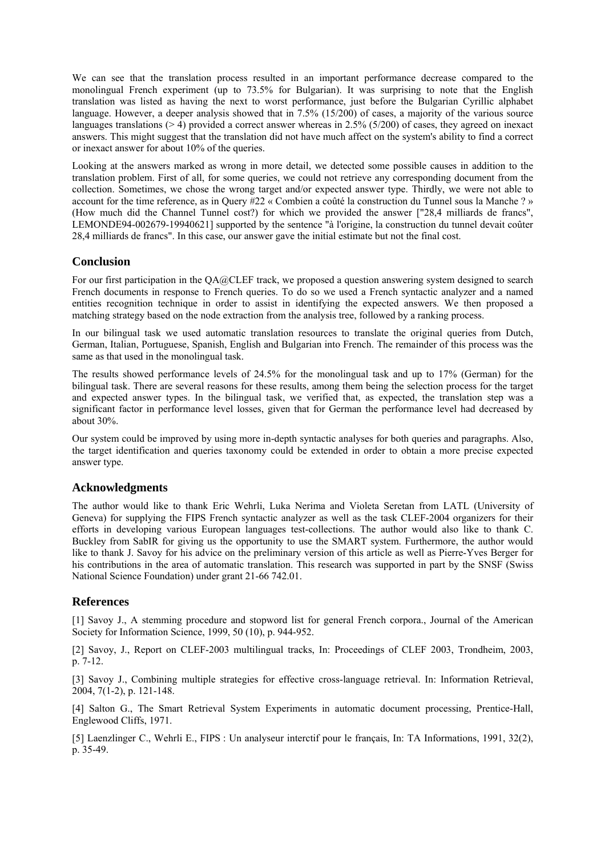We can see that the translation process resulted in an important performance decrease compared to the monolingual French experiment (up to 73.5% for Bulgarian). It was surprising to note that the English translation was listed as having the next to worst performance, just before the Bulgarian Cyrillic alphabet language. However, a deeper analysis showed that in 7.5% (15/200) of cases, a majority of the various source languages translations (> 4) provided a correct answer whereas in 2.5% (5/200) of cases, they agreed on inexact answers. This might suggest that the translation did not have much affect on the system's ability to find a correct or inexact answer for about 10% of the queries.

Looking at the answers marked as wrong in more detail, we detected some possible causes in addition to the translation problem. First of all, for some queries, we could not retrieve any corresponding document from the collection. Sometimes, we chose the wrong target and/or expected answer type. Thirdly, we were not able to account for the time reference, as in Query #22 « Combien a coûté la construction du Tunnel sous la Manche ? » (How much did the Channel Tunnel cost?) for which we provided the answer ["28,4 milliards de francs", LEMONDE94-002679-19940621] supported by the sentence "à l'origine, la construction du tunnel devait coûter 28,4 milliards de francs". In this case, our answer gave the initial estimate but not the final cost.

### **Conclusion**

For our first participation in the QA@CLEF track, we proposed a question answering system designed to search French documents in response to French queries. To do so we used a French syntactic analyzer and a named entities recognition technique in order to assist in identifying the expected answers. We then proposed a matching strategy based on the node extraction from the analysis tree, followed by a ranking process.

In our bilingual task we used automatic translation resources to translate the original queries from Dutch, German, Italian, Portuguese, Spanish, English and Bulgarian into French. The remainder of this process was the same as that used in the monolingual task.

The results showed performance levels of 24.5% for the monolingual task and up to 17% (German) for the bilingual task. There are several reasons for these results, among them being the selection process for the target and expected answer types. In the bilingual task, we verified that, as expected, the translation step was a significant factor in performance level losses, given that for German the performance level had decreased by about 30%.

Our system could be improved by using more in-depth syntactic analyses for both queries and paragraphs. Also, the target identification and queries taxonomy could be extended in order to obtain a more precise expected answer type.

### **Acknowledgments**

The author would like to thank Eric Wehrli, Luka Nerima and Violeta Seretan from LATL (University of Geneva) for supplying the FIPS French syntactic analyzer as well as the task CLEF-2004 organizers for their efforts in developing various European languages test-collections. The author would also like to thank C. Buckley from SabIR for giving us the opportunity to use the SMART system. Furthermore, the author would like to thank J. Savoy for his advice on the preliminary version of this article as well as Pierre-Yves Berger for his contributions in the area of automatic translation. This research was supported in part by the SNSF (Swiss National Science Foundation) under grant 21-66 742.01.

### **References**

[1] Savoy J., A stemming procedure and stopword list for general French corpora., Journal of the American Society for Information Science, 1999, 50 (10), p. 944-952.

[2] Savoy, J., Report on CLEF-2003 multilingual tracks, In: Proceedings of CLEF 2003, Trondheim, 2003, p. 7-12.

[3] Savoy J., Combining multiple strategies for effective cross-language retrieval. In: Information Retrieval, 2004, 7(1-2), p. 121-148.

[4] Salton G., The Smart Retrieval System Experiments in automatic document processing, Prentice-Hall, Englewood Cliffs, 1971.

[5] Laenzlinger C., Wehrli E., FIPS : Un analyseur interctif pour le français, In: TA Informations, 1991, 32(2), p. 35-49.